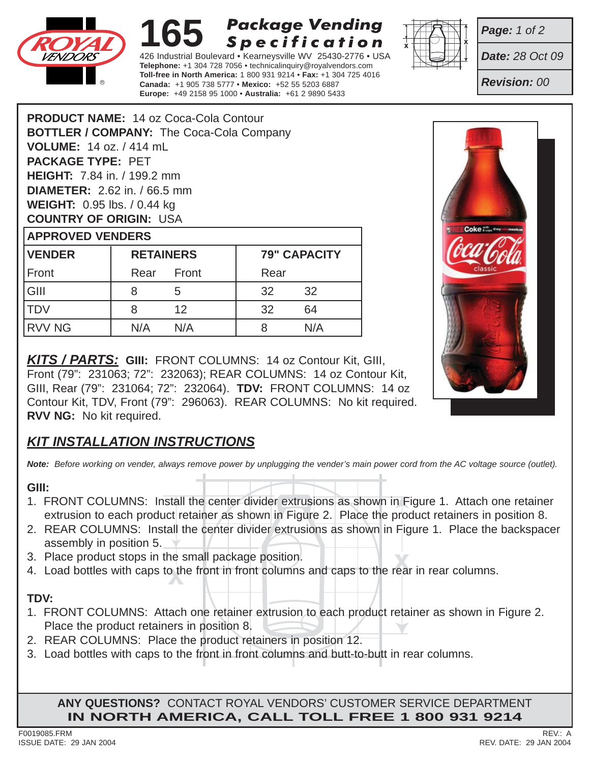

#### **165 Package Vending** Specification

426 Industrial Boulevard • Kearneysville WV 25430-2776 • USA **Telephone:** +1 304 728 7056 • technicalinquiry@royalvendors.com **Toll-free in North America:** 1 800 931 9214 • **Fax:** +1 304 725 4016 **Canada:** +1 905 738 5777 • **Mexico:** +52 55 5203 6887 **Europe:** +49 2158 95 1000 • **Australia:** +61 2 9890 5433



*Page: 1 of 2*

*Date: 28 Oct 09*

*Revision: 00*

| <b>PRODUCT NAME:</b> 14 02 COCa-COIA CONTOUT    |                  |                   |                     |    |
|-------------------------------------------------|------------------|-------------------|---------------------|----|
| <b>BOTTLER / COMPANY: The Coca-Cola Company</b> |                  |                   |                     |    |
| <b>VOLUME: 14 oz. / 414 mL</b>                  |                  |                   |                     |    |
| <b>PACKAGE TYPE: PET</b>                        |                  |                   |                     |    |
| <b>HEIGHT:</b> 7.84 in. / 199.2 mm              |                  |                   |                     |    |
| <b>DIAMETER:</b> 2.62 in. / 66.5 mm             |                  |                   |                     |    |
| <b>WEIGHT:</b> 0.95 lbs. / 0.44 kg              |                  |                   |                     |    |
| <b>COUNTRY OF ORIGIN: USA</b>                   |                  |                   |                     |    |
| <b>APPROVED VENDERS</b>                         |                  |                   |                     |    |
| <b>VENDER</b>                                   | <b>RETAINERS</b> |                   | <b>79" CAPACITY</b> |    |
| Front                                           | Rear Front       |                   | Rear                |    |
| GIII                                            | 8                | 5                 | 32                  | 32 |
| <b>TDV</b>                                      | 8                | $12 \overline{ }$ | 32                  | 64 |

RVV NG | N/A N/A | 8 N/A

**PRODUCT NAME:** 14 oz Coca-Cola Contour

*KITS / PARTS:* **GIII:** FRONT COLUMNS: 14 oz Contour Kit, GIII, Front (79": 231063; 72": 232063); REAR COLUMNS: 14 oz Contour Kit, GIII, Rear (79": 231064; 72": 232064). **TDV:** FRONT COLUMNS: 14 oz Contour Kit, TDV, Front (79": 296063). REAR COLUMNS: No kit required. **RVV NG:** No kit required.

# *KIT INSTALLATION INSTRUCTIONS*

*Note: Before working on vender, always remove power by unplugging the vender's main power cord from the AC voltage source (outlet).*

#### **GIII:**

- 1. FRONT COLUMNS: Install the center divider extrusions as shown in Figure 1. Attach one retainer extrusion to each product retainer as shown in Figure 2. Place the product retainers in position 8.
- 2. REAR COLUMNS: Install the center divider extrusions as shown in Figure 1. Place the backspacer assembly in position 5.  $\blacktriangleright$
- 3. Place product stops in the small package position.
- ne small package position.<br>b the front in front columns and caps to the rea 4. Load bottles with caps to the front in front columns and caps to the rear in rear columns.

# **TDV:**

- 1. FRONT COLUMNS: Attach one retainer extrusion to each product retainer as shown in Figure 2. Place the product retainers in position 8.
- 2. REAR COLUMNS: Place the product retainers in position 12.
- 3. Load bottles with caps to the front in front columns and butt-to-butt in rear columns.

**ANY QUESTIONS?** CONTACT ROYAL VENDORS' CUSTOMER SERVICE DEPARTMENT **IN NORTH AMERICA, CALL TOLL FREE 1 800 931 9214**